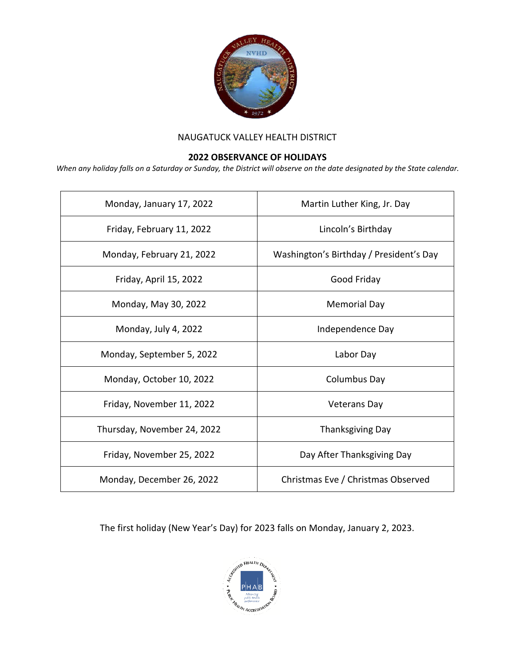

## NAUGATUCK VALLEY HEALTH DISTRICT

## **2022 OBSERVANCE OF HOLIDAYS**

*When any holiday falls on a Saturday or Sunday, the District will observe on the date designated by the State calendar.*

| Monday, January 17, 2022    | Martin Luther King, Jr. Day             |
|-----------------------------|-----------------------------------------|
| Friday, February 11, 2022   | Lincoln's Birthday                      |
| Monday, February 21, 2022   | Washington's Birthday / President's Day |
| Friday, April 15, 2022      | Good Friday                             |
| Monday, May 30, 2022        | <b>Memorial Day</b>                     |
| Monday, July 4, 2022        | Independence Day                        |
| Monday, September 5, 2022   | Labor Day                               |
| Monday, October 10, 2022    | Columbus Day                            |
| Friday, November 11, 2022   | <b>Veterans Day</b>                     |
| Thursday, November 24, 2022 | Thanksgiving Day                        |
| Friday, November 25, 2022   | Day After Thanksgiving Day              |
| Monday, December 26, 2022   | Christmas Eve / Christmas Observed      |

The first holiday (New Year's Day) for 2023 falls on Monday, January 2, 2023.